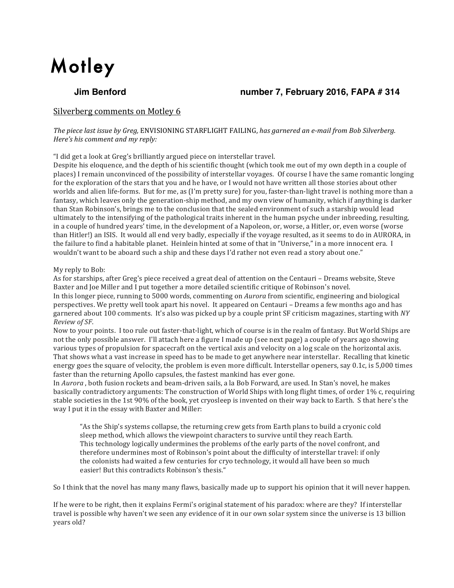# **Motley**

# **Jim Benford number 7, February 2016, FAPA # 314**

# Silverberg comments on Motley 6

*The piece last issue by Greg,* ENVISIONING STARFLIGHT FAILING, *has garnered an e-mail from Bob Silverberg. Here's his comment and my reply:* 

"I did get a look at Greg's brilliantly argued piece on interstellar travel.

Despite his eloquence, and the depth of his scientific thought (which took me out of my own depth in a couple of places) I remain unconvinced of the possibility of interstellar voyages. Of course I have the same romantic longing for the exploration of the stars that you and he have, or I would not have written all those stories about other worlds and alien life-forms. But for me, as (I'm pretty sure) for you, faster-than-light travel is nothing more than a fantasy, which leaves only the generation-ship method, and my own view of humanity, which if anything is darker than Stan Robinson's, brings me to the conclusion that the sealed environment of such a starship would lead ultimately to the intensifying of the pathological traits inherent in the human psyche under inbreeding, resulting, in a couple of hundred years' time, in the development of a Napoleon, or, worse, a Hitler, or, even worse (worse than Hitler!) an ISIS. It would all end very badly, especially if the voyage resulted, as it seems to do in AURORA, in the failure to find a habitable planet. Heinlein hinted at some of that in "Universe," in a more innocent era. I wouldn't want to be aboard such a ship and these days I'd rather not even read a story about one."

#### My reply to Bob:

As for starships, after Greg's piece received a great deal of attention on the Centauri – Dreams website, Steve Baxter and Joe Miller and I put together a more detailed scientific critique of Robinson's novel. In this longer piece, running to 5000 words, commenting on *Aurora* from scientific, engineering and biological perspectives. We pretty well took apart his novel. It appeared on Centauri – Dreams a few months ago and has garnered about 100 comments. It's also was picked up by a couple print SF criticism magazines, starting with NY *Review of SF*.

Now to your points. I too rule out faster-that-light, which of course is in the realm of fantasy. But World Ships are not the only possible answer. I'll attach here a figure I made up (see next page) a couple of years ago showing various types of propulsion for spacecraft on the vertical axis and velocity on a log scale on the horizontal axis. That shows what a vast increase in speed has to be made to get anywhere near interstellar. Recalling that kinetic energy goes the square of velocity, the problem is even more difficult. Interstellar openers, say 0.1c, is  $5,000$  times faster than the returning Apollo capsules, the fastest mankind has ever gone.

In *Aurora*, both fusion rockets and beam-driven sails, a la Bob Forward, are used. In Stan's novel, he makes basically contradictory arguments: The construction of World Ships with long flight times, of order 1% c, requiring stable societies in the 1st 90% of the book, yet cryosleep is invented on their way back to Earth. S that here's the way I put it in the essay with Baxter and Miller:

"As the Ship's systems collapse, the returning crew gets from Earth plans to build a cryonic cold sleep method, which allows the viewpoint characters to survive until they reach Earth. This technology logically undermines the problems of the early parts of the novel confront, and therefore undermines most of Robinson's point about the difficulty of interstellar travel: if only the colonists had waited a few centuries for cryo technology, it would all have been so much easier! But this contradicts Robinson's thesis."

So I think that the novel has many many flaws, basically made up to support his opinion that it will never happen.

If he were to be right, then it explains Fermi's original statement of his paradox: where are they? If interstellar travel is possible why haven't we seen any evidence of it in our own solar system since the universe is 13 billion years old?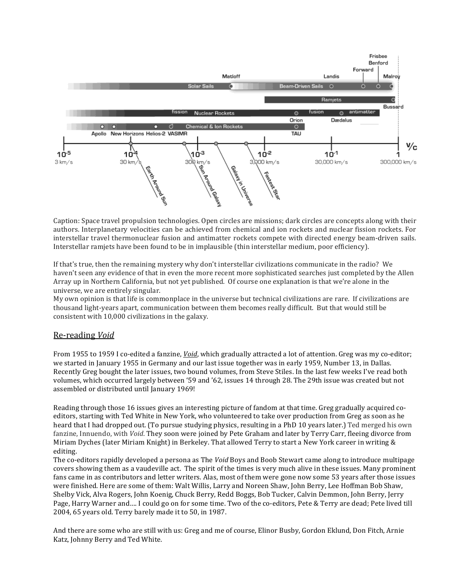

Caption: Space travel propulsion technologies. Open circles are missions; dark circles are concepts along with their authors. Interplanetary velocities can be achieved from chemical and ion rockets and nuclear fission rockets. For interstellar travel thermonuclear fusion and antimatter rockets compete with directed energy beam-driven sails. Interstellar ramjets have been found to be in implausible (thin interstellar medium, poor efficiency).

If that's true, then the remaining mystery why don't interstellar civilizations communicate in the radio? We haven't seen any evidence of that in even the more recent more sophisticated searches just completed by the Allen Array up in Northern California, but not yet published. Of course one explanation is that we're alone in the universe, we are entirely singular.

My own opinion is that life is commonplace in the universe but technical civilizations are rare. If civilizations are thousand light-years apart, communication between them becomes really difficult. But that would still be consistent with 10,000 civilizations in the galaxy.

# Re-reading *Void*

From 1955 to 1959 I co-edited a fanzine, *Void*, which gradually attracted a lot of attention. Greg was my co-editor; we started in January 1955 in Germany and our last issue together was in early 1959, Number 13, in Dallas. Recently Greg bought the later issues, two bound volumes, from Steve Stiles. In the last few weeks I've read both volumes, which occurred largely between '59 and '62, issues 14 through 28. The 29th issue was created but not assembled or distributed until January 1969!

Reading through those 16 issues gives an interesting picture of fandom at that time. Greg gradually acquired coeditors, starting with Ted White in New York, who volunteered to take over production from Greg as soon as he heard that I had dropped out. (To pursue studying physics, resulting in a PhD 10 years later.) Ted merged his own fanzine, Innuendo, with *Void*. They soon were joined by Pete Graham and later by Terry Carr, fleeing divorce from Miriam Dyches (later Miriam Knight) in Berkeley. That allowed Terry to start a New York career in writing & editing.

The co-editors rapidly developed a persona as The *Void* Boys and Boob Stewart came along to introduce multipage covers showing them as a vaudeville act. The spirit of the times is very much alive in these issues. Many prominent fans came in as contributors and letter writers. Alas, most of them were gone now some 53 years after those issues were finished. Here are some of them: Walt Willis, Larry and Noreen Shaw, John Berry, Lee Hoffman Bob Shaw, Shelby Vick, Alva Rogers, John Koenig, Chuck Berry, Redd Boggs, Bob Tucker, Calvin Demmon, John Berry, Jerry Page, Harry Warner and.... I could go on for some time. Two of the co-editors, Pete & Terry are dead; Pete lived till 2004, 65 years old. Terry barely made it to 50, in 1987.

And there are some who are still with us: Greg and me of course, Elinor Busby, Gordon Eklund, Don Fitch, Arnie Katz, Johnny Berry and Ted White.